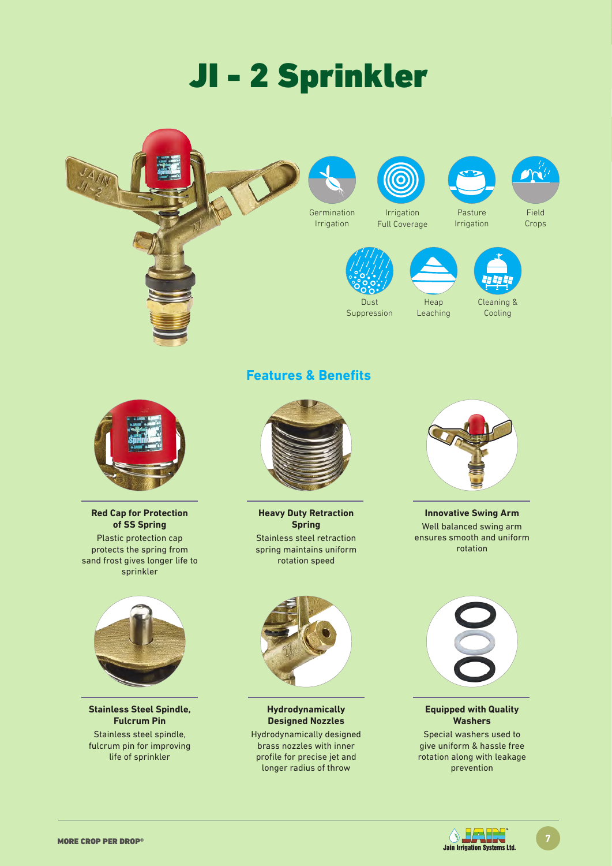# JI - 2 Sprinkler